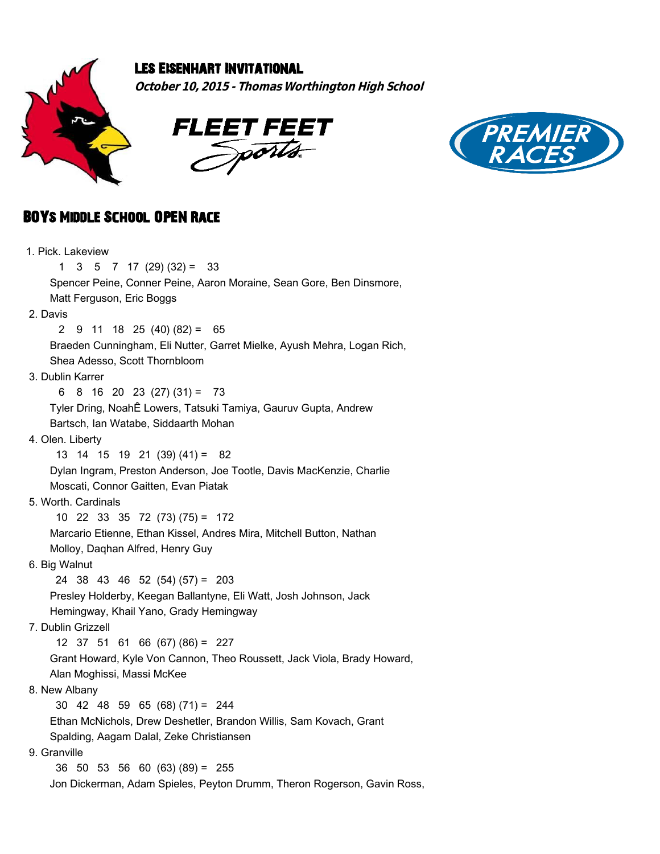## Les Eisenhart Invitational



**October 10, 2015 - Thomas Worthington High School**





## BOYs Middle School OPEN Race

| 1. Pick. Lakeview                                                         |
|---------------------------------------------------------------------------|
| $3 -$<br>$5 \quad 7 \quad 17 \quad (29) \quad (32) = \quad 33$<br>1.      |
| Spencer Peine, Conner Peine, Aaron Moraine, Sean Gore, Ben Dinsmore,      |
| Matt Ferguson, Eric Boggs                                                 |
| 2. Davis                                                                  |
| $\overline{2}$<br>$9$ 11 18 25 (40) (82) = 65                             |
| Braeden Cunningham, Eli Nutter, Garret Mielke, Ayush Mehra, Logan Rich,   |
| Shea Adesso, Scott Thornbloom                                             |
| 3. Dublin Karrer                                                          |
| $8$ 16 20 23 (27) (31) = 73<br>6                                          |
| Tyler Dring, NoahÊ Lowers, Tatsuki Tamiya, Gauruv Gupta, Andrew           |
| Bartsch, Ian Watabe, Siddaarth Mohan                                      |
| 4. Olen. Liberty                                                          |
| $13 \quad 14 \quad 15 \quad 19 \quad 21 \quad (39) \quad (41) = \quad 82$ |
| Dylan Ingram, Preston Anderson, Joe Tootle, Davis MacKenzie, Charlie      |
| Moscati, Connor Gaitten, Evan Piatak                                      |
| 5. Worth, Cardinals                                                       |
| 10 22 33 35 72 (73) (75) = 172                                            |
| Marcario Etienne, Ethan Kissel, Andres Mira, Mitchell Button, Nathan      |
| Molloy, Daghan Alfred, Henry Guy                                          |
| 6. Big Walnut                                                             |
| 24 38 43 46 52 (54) (57) = 203                                            |
| Presley Holderby, Keegan Ballantyne, Eli Watt, Josh Johnson, Jack         |
| Hemingway, Khail Yano, Grady Hemingway                                    |
| 7. Dublin Grizzell                                                        |
| 12 37 51 61 66 (67) (86) = 227                                            |
| Grant Howard, Kyle Von Cannon, Theo Roussett, Jack Viola, Brady Howard,   |
| Alan Moghissi, Massi McKee                                                |
| 8. New Albany                                                             |
| 30 42 48 59 65 (68) (71) = 244                                            |
| Ethan McNichols, Drew Deshetler, Brandon Willis, Sam Kovach, Grant        |
| Spalding, Aagam Dalal, Zeke Christiansen                                  |
| 9. Granville                                                              |
| $36$ 50 53 56 60 (63) (89) = 255                                          |
| Jon Dickerman, Adam Spieles, Peyton Drumm, Theron Rogerson, Gavin Ross,   |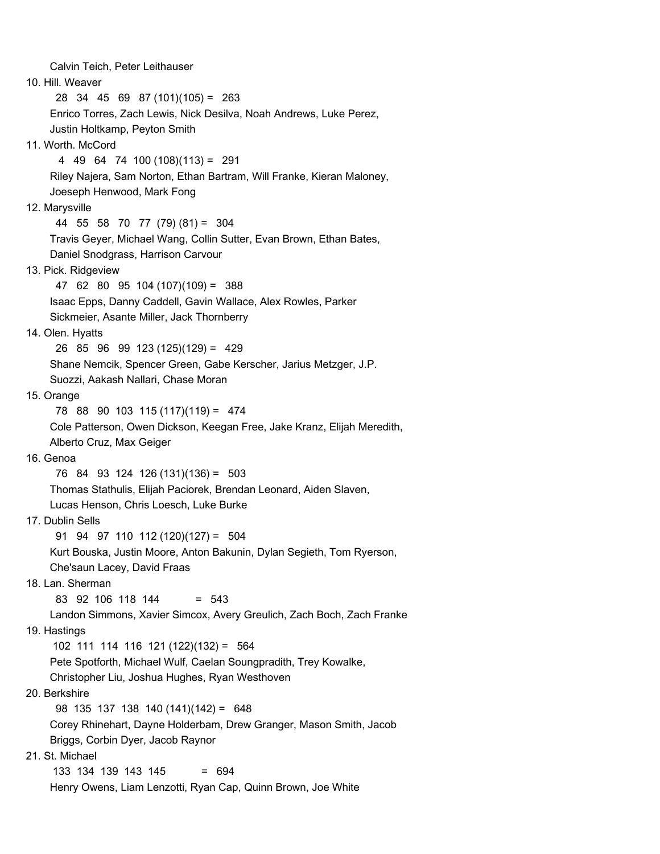Calvin Teich, Peter Leithauser 10. Hill. Weaver 28 34 45 69 87 (101)(105) = 263 Enrico Torres, Zach Lewis, Nick Desilva, Noah Andrews, Luke Perez, Justin Holtkamp, Peyton Smith 11. Worth. McCord 4 49 64 74 100 (108)(113) = 291 Riley Najera, Sam Norton, Ethan Bartram, Will Franke, Kieran Maloney, Joeseph Henwood, Mark Fong 12. Marysville 44 55 58 70 77 (79) (81) = 304 Travis Geyer, Michael Wang, Collin Sutter, Evan Brown, Ethan Bates, Daniel Snodgrass, Harrison Carvour 13. Pick. Ridgeview 47 62 80 95 104 (107)(109) = 388 Isaac Epps, Danny Caddell, Gavin Wallace, Alex Rowles, Parker Sickmeier, Asante Miller, Jack Thornberry 14. Olen. Hyatts 26 85 96 99 123 (125)(129) = 429 Shane Nemcik, Spencer Green, Gabe Kerscher, Jarius Metzger, J.P. Suozzi, Aakash Nallari, Chase Moran 15. Orange 78 88 90 103 115 (117)(119) = 474 Cole Patterson, Owen Dickson, Keegan Free, Jake Kranz, Elijah Meredith, Alberto Cruz, Max Geiger 16. Genoa 76 84 93 124 126 (131)(136) = 503 Thomas Stathulis, Elijah Paciorek, Brendan Leonard, Aiden Slaven, Lucas Henson, Chris Loesch, Luke Burke 17. Dublin Sells 91 94 97 110 112 (120)(127) = 504 Kurt Bouska, Justin Moore, Anton Bakunin, Dylan Segieth, Tom Ryerson, Che'saun Lacey, David Fraas 18. Lan. Sherman 83 92 106 118 144 = 543 Landon Simmons, Xavier Simcox, Avery Greulich, Zach Boch, Zach Franke 19. Hastings 102 111 114 116 121 (122)(132) = 564 Pete Spotforth, Michael Wulf, Caelan Soungpradith, Trey Kowalke, Christopher Liu, Joshua Hughes, Ryan Westhoven 20. Berkshire 98 135 137 138 140 (141)(142) = 648 Corey Rhinehart, Dayne Holderbam, Drew Granger, Mason Smith, Jacob Briggs, Corbin Dyer, Jacob Raynor 21. St. Michael 133 134 139 143 145 = 694 Henry Owens, Liam Lenzotti, Ryan Cap, Quinn Brown, Joe White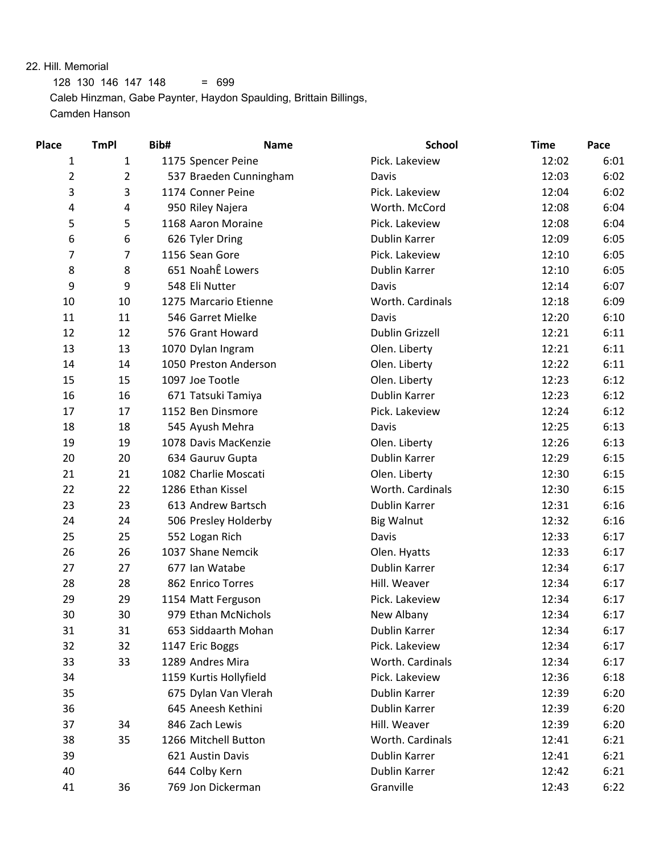22. Hill. Memorial

 128 130 146 147 148 = 699 Caleb Hinzman, Gabe Paynter, Haydon Spaulding, Brittain Billings, Camden Hanson

| <b>Place</b>   | <b>TmPI</b>    | Bib#                   | <b>Name</b>            |                        | <b>School</b> | <b>Time</b> | Pace |
|----------------|----------------|------------------------|------------------------|------------------------|---------------|-------------|------|
| 1              | 1              | 1175 Spencer Peine     |                        | Pick. Lakeview         |               | 12:02       | 6:01 |
| $\overline{2}$ | $\overline{2}$ |                        | 537 Braeden Cunningham | Davis                  |               | 12:03       | 6:02 |
| 3              | 3              | 1174 Conner Peine      |                        | Pick. Lakeview         |               | 12:04       | 6:02 |
| 4              | 4              | 950 Riley Najera       |                        | Worth. McCord          |               | 12:08       | 6:04 |
| 5              | 5              | 1168 Aaron Moraine     |                        | Pick. Lakeview         |               | 12:08       | 6:04 |
| 6              | 6              | 626 Tyler Dring        |                        | Dublin Karrer          |               | 12:09       | 6:05 |
| 7              | 7              | 1156 Sean Gore         |                        | Pick. Lakeview         |               | 12:10       | 6:05 |
| 8              | 8              | 651 NoahÊ Lowers       |                        | Dublin Karrer          |               | 12:10       | 6:05 |
| 9              | 9              | 548 Eli Nutter         |                        | Davis                  |               | 12:14       | 6:07 |
| 10             | 10             |                        | 1275 Marcario Etienne  | Worth. Cardinals       |               | 12:18       | 6:09 |
| 11             | 11             | 546 Garret Mielke      |                        | Davis                  |               | 12:20       | 6:10 |
| 12             | 12             | 576 Grant Howard       |                        | <b>Dublin Grizzell</b> |               | 12:21       | 6:11 |
| 13             | 13             | 1070 Dylan Ingram      |                        | Olen. Liberty          |               | 12:21       | 6:11 |
| 14             | 14             |                        | 1050 Preston Anderson  | Olen. Liberty          |               | 12:22       | 6:11 |
| 15             | 15             | 1097 Joe Tootle        |                        | Olen. Liberty          |               | 12:23       | 6:12 |
| 16             | 16             | 671 Tatsuki Tamiya     |                        | Dublin Karrer          |               | 12:23       | 6:12 |
| 17             | 17             | 1152 Ben Dinsmore      |                        | Pick. Lakeview         |               | 12:24       | 6:12 |
| 18             | 18             | 545 Ayush Mehra        |                        | Davis                  |               | 12:25       | 6:13 |
| 19             | 19             |                        | 1078 Davis MacKenzie   | Olen. Liberty          |               | 12:26       | 6:13 |
| 20             | 20             | 634 Gauruv Gupta       |                        | Dublin Karrer          |               | 12:29       | 6:15 |
| 21             | 21             | 1082 Charlie Moscati   |                        | Olen. Liberty          |               | 12:30       | 6:15 |
| 22             | 22             | 1286 Ethan Kissel      |                        | Worth. Cardinals       |               | 12:30       | 6:15 |
| 23             | 23             |                        | 613 Andrew Bartsch     | Dublin Karrer          |               | 12:31       | 6:16 |
| 24             | 24             |                        | 506 Presley Holderby   | <b>Big Walnut</b>      |               | 12:32       | 6:16 |
| 25             | 25             | 552 Logan Rich         |                        | Davis                  |               | 12:33       | 6:17 |
| 26             | 26             | 1037 Shane Nemcik      |                        | Olen. Hyatts           |               | 12:33       | 6:17 |
| 27             | 27             | 677 Ian Watabe         |                        | Dublin Karrer          |               | 12:34       | 6:17 |
| 28             | 28             | 862 Enrico Torres      |                        | Hill. Weaver           |               | 12:34       | 6:17 |
| 29             | 29             | 1154 Matt Ferguson     |                        | Pick. Lakeview         |               | 12:34       | 6:17 |
| 30             | 30             |                        | 979 Ethan McNichols    | New Albany             |               | 12:34       | 6:17 |
| 31             | 31             |                        | 653 Siddaarth Mohan    | Dublin Karrer          |               | 12:34       | 6:17 |
| 32             | 32             | 1147 Eric Boggs        |                        | Pick. Lakeview         |               | 12:34       | 6:17 |
| 33             | 33             | 1289 Andres Mira       |                        | Worth. Cardinals       |               | 12:34       | 6:17 |
| 34             |                | 1159 Kurtis Hollyfield |                        | Pick. Lakeview         |               | 12:36       | 6:18 |
| 35             |                |                        | 675 Dylan Van Vlerah   | Dublin Karrer          |               | 12:39       | 6:20 |
| 36             |                | 645 Aneesh Kethini     |                        | Dublin Karrer          |               | 12:39       | 6:20 |
| 37             | 34             | 846 Zach Lewis         |                        | Hill. Weaver           |               | 12:39       | 6:20 |
| 38             | 35             | 1266 Mitchell Button   |                        | Worth. Cardinals       |               | 12:41       | 6:21 |
| 39             |                | 621 Austin Davis       |                        | Dublin Karrer          |               | 12:41       | 6:21 |
| 40             |                | 644 Colby Kern         |                        | Dublin Karrer          |               | 12:42       | 6:21 |
| 41             | 36             | 769 Jon Dickerman      |                        | Granville              |               | 12:43       | 6:22 |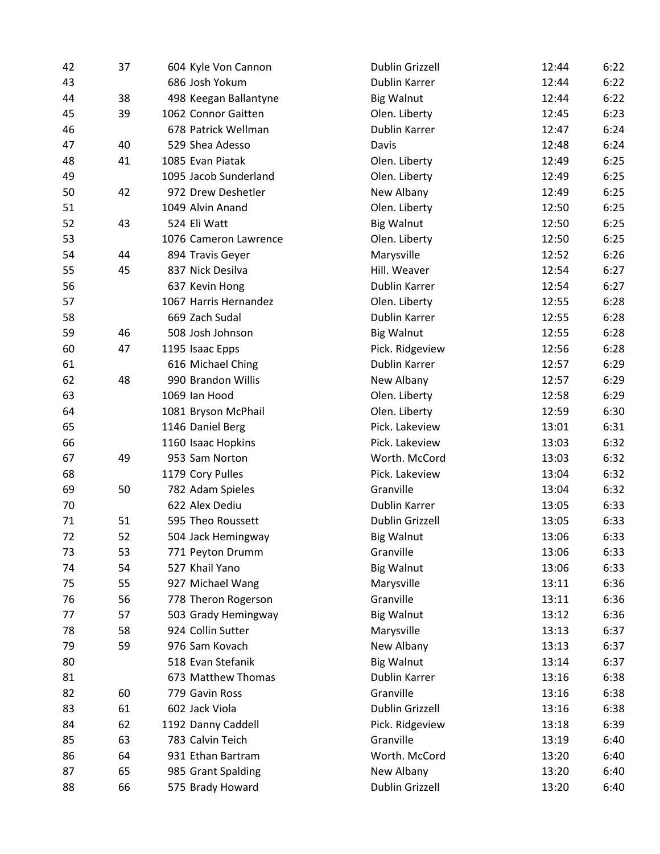| 42 | 37 | 604 Kyle Von Cannon   | <b>Dublin Grizzell</b> | 12:44<br>6:22 |
|----|----|-----------------------|------------------------|---------------|
| 43 |    | 686 Josh Yokum        | Dublin Karrer          | 6:22<br>12:44 |
| 44 | 38 | 498 Keegan Ballantyne | <b>Big Walnut</b>      | 12:44<br>6:22 |
| 45 | 39 | 1062 Connor Gaitten   | Olen. Liberty          | 6:23<br>12:45 |
| 46 |    | 678 Patrick Wellman   | Dublin Karrer          | 12:47<br>6:24 |
| 47 | 40 | 529 Shea Adesso       | Davis                  | 12:48<br>6:24 |
| 48 | 41 | 1085 Evan Piatak      | Olen. Liberty          | 6:25<br>12:49 |
| 49 |    | 1095 Jacob Sunderland | Olen. Liberty          | 12:49<br>6:25 |
| 50 | 42 | 972 Drew Deshetler    | New Albany             | 6:25<br>12:49 |
| 51 |    | 1049 Alvin Anand      | Olen. Liberty          | 12:50<br>6:25 |
| 52 | 43 | 524 Eli Watt          | <b>Big Walnut</b>      | 12:50<br>6:25 |
| 53 |    | 1076 Cameron Lawrence | Olen. Liberty          | 12:50<br>6:25 |
| 54 | 44 | 894 Travis Geyer      | Marysville             | 6:26<br>12:52 |
| 55 | 45 | 837 Nick Desilva      | Hill. Weaver           | 6:27<br>12:54 |
| 56 |    | 637 Kevin Hong        | Dublin Karrer          | 12:54<br>6:27 |
| 57 |    | 1067 Harris Hernandez | Olen. Liberty          | 6:28<br>12:55 |
| 58 |    | 669 Zach Sudal        | Dublin Karrer          | 12:55<br>6:28 |
| 59 | 46 | 508 Josh Johnson      | <b>Big Walnut</b>      | 12:55<br>6:28 |
| 60 | 47 | 1195 Isaac Epps       | Pick. Ridgeview        | 12:56<br>6:28 |
| 61 |    | 616 Michael Ching     | Dublin Karrer          | 12:57<br>6:29 |
| 62 | 48 | 990 Brandon Willis    | New Albany             | 6:29<br>12:57 |
| 63 |    | 1069 Ian Hood         | Olen. Liberty          | 12:58<br>6:29 |
| 64 |    | 1081 Bryson McPhail   | Olen. Liberty          | 6:30<br>12:59 |
| 65 |    | 1146 Daniel Berg      | Pick. Lakeview         | 6:31<br>13:01 |
| 66 |    | 1160 Isaac Hopkins    | Pick. Lakeview         | 13:03<br>6:32 |
| 67 | 49 | 953 Sam Norton        | Worth. McCord          | 6:32<br>13:03 |
| 68 |    | 1179 Cory Pulles      | Pick. Lakeview         | 13:04<br>6:32 |
| 69 | 50 | 782 Adam Spieles      | Granville              | 6:32<br>13:04 |
| 70 |    | 622 Alex Dediu        | Dublin Karrer          | 13:05<br>6:33 |
| 71 | 51 | 595 Theo Roussett     | <b>Dublin Grizzell</b> | 6:33<br>13:05 |
| 72 | 52 | 504 Jack Hemingway    | <b>Big Walnut</b>      | 6:33<br>13:06 |
| 73 | 53 | 771 Peyton Drumm      | Granville              | 13:06<br>6:33 |
| 74 | 54 | 527 Khail Yano        | <b>Big Walnut</b>      | 13:06<br>6:33 |
| 75 | 55 | 927 Michael Wang      | Marysville             | 13:11<br>6:36 |
| 76 | 56 | 778 Theron Rogerson   | Granville              | 6:36<br>13:11 |
| 77 | 57 | 503 Grady Hemingway   | <b>Big Walnut</b>      | 13:12<br>6:36 |
| 78 | 58 | 924 Collin Sutter     | Marysville             | 13:13<br>6:37 |
| 79 | 59 | 976 Sam Kovach        | New Albany             | 13:13<br>6:37 |
| 80 |    | 518 Evan Stefanik     | <b>Big Walnut</b>      | 13:14<br>6:37 |
| 81 |    | 673 Matthew Thomas    | Dublin Karrer          | 13:16<br>6:38 |
| 82 | 60 | 779 Gavin Ross        | Granville              | 13:16<br>6:38 |
| 83 | 61 | 602 Jack Viola        | Dublin Grizzell        | 13:16<br>6:38 |
| 84 | 62 | 1192 Danny Caddell    | Pick. Ridgeview        | 6:39<br>13:18 |
| 85 | 63 | 783 Calvin Teich      | Granville              | 13:19<br>6:40 |
| 86 | 64 | 931 Ethan Bartram     | Worth. McCord          | 13:20<br>6:40 |
| 87 | 65 | 985 Grant Spalding    | New Albany             | 13:20<br>6:40 |
| 88 | 66 | 575 Brady Howard      | Dublin Grizzell        | 6:40<br>13:20 |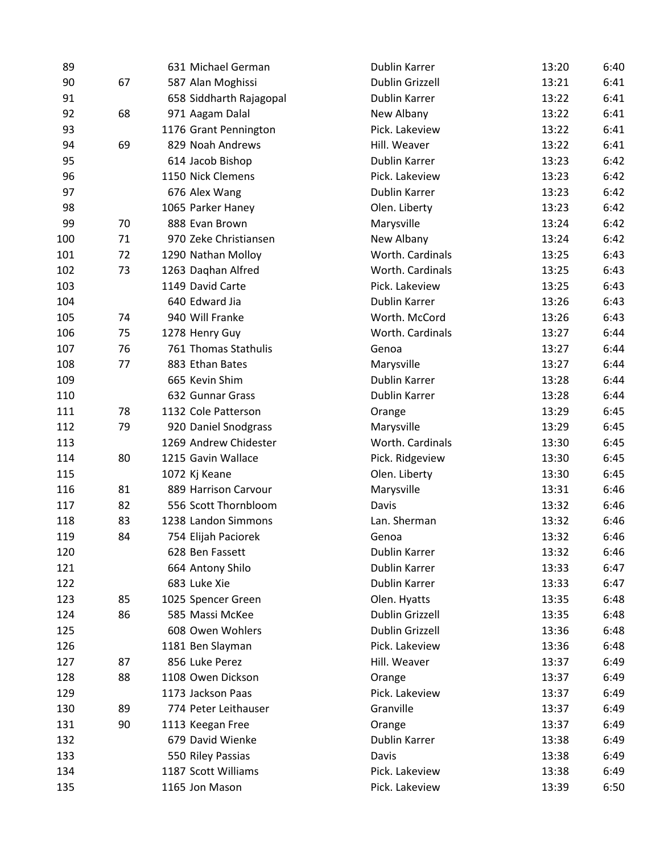| 89  |    | 631 Michael German      | Dublin Karrer          | 13:20 | 6:40 |
|-----|----|-------------------------|------------------------|-------|------|
| 90  | 67 | 587 Alan Moghissi       | Dublin Grizzell        | 13:21 | 6:41 |
| 91  |    | 658 Siddharth Rajagopal | Dublin Karrer          | 13:22 | 6:41 |
| 92  | 68 | 971 Aagam Dalal         | New Albany             | 13:22 | 6:41 |
| 93  |    | 1176 Grant Pennington   | Pick. Lakeview         | 13:22 | 6:41 |
| 94  | 69 | 829 Noah Andrews        | Hill. Weaver           | 13:22 | 6:41 |
| 95  |    | 614 Jacob Bishop        | Dublin Karrer          | 13:23 | 6:42 |
| 96  |    | 1150 Nick Clemens       | Pick. Lakeview         | 13:23 | 6:42 |
| 97  |    | 676 Alex Wang           | Dublin Karrer          | 13:23 | 6:42 |
| 98  |    | 1065 Parker Haney       | Olen. Liberty          | 13:23 | 6:42 |
| 99  | 70 | 888 Evan Brown          | Marysville             | 13:24 | 6:42 |
| 100 | 71 | 970 Zeke Christiansen   | New Albany             | 13:24 | 6:42 |
| 101 | 72 | 1290 Nathan Molloy      | Worth. Cardinals       | 13:25 | 6:43 |
| 102 | 73 | 1263 Daghan Alfred      | Worth. Cardinals       | 13:25 | 6:43 |
| 103 |    | 1149 David Carte        | Pick. Lakeview         | 13:25 | 6:43 |
| 104 |    | 640 Edward Jia          | Dublin Karrer          | 13:26 | 6:43 |
| 105 | 74 | 940 Will Franke         | Worth. McCord          | 13:26 | 6:43 |
| 106 | 75 | 1278 Henry Guy          | Worth. Cardinals       | 13:27 | 6:44 |
| 107 | 76 | 761 Thomas Stathulis    | Genoa                  | 13:27 | 6:44 |
| 108 | 77 | 883 Ethan Bates         | Marysville             | 13:27 | 6:44 |
| 109 |    | 665 Kevin Shim          | Dublin Karrer          | 13:28 | 6:44 |
| 110 |    | 632 Gunnar Grass        | Dublin Karrer          | 13:28 | 6:44 |
| 111 | 78 | 1132 Cole Patterson     | Orange                 | 13:29 | 6:45 |
| 112 | 79 | 920 Daniel Snodgrass    | Marysville             | 13:29 | 6:45 |
| 113 |    | 1269 Andrew Chidester   | Worth. Cardinals       | 13:30 | 6:45 |
| 114 | 80 | 1215 Gavin Wallace      | Pick. Ridgeview        | 13:30 | 6:45 |
| 115 |    | 1072 Kj Keane           | Olen. Liberty          | 13:30 | 6:45 |
| 116 | 81 | 889 Harrison Carvour    | Marysville             | 13:31 | 6:46 |
| 117 | 82 | 556 Scott Thornbloom    | Davis                  | 13:32 | 6:46 |
| 118 | 83 | 1238 Landon Simmons     | Lan. Sherman           | 13:32 | 6:46 |
| 119 | 84 | 754 Elijah Paciorek     | Genoa                  | 13:32 | 6:46 |
| 120 |    | 628 Ben Fassett         | Dublin Karrer          | 13:32 | 6:46 |
| 121 |    | 664 Antony Shilo        | Dublin Karrer          | 13:33 | 6:47 |
| 122 |    | 683 Luke Xie            | Dublin Karrer          | 13:33 | 6:47 |
| 123 | 85 | 1025 Spencer Green      | Olen. Hyatts           | 13:35 | 6:48 |
| 124 | 86 | 585 Massi McKee         | Dublin Grizzell        | 13:35 | 6:48 |
| 125 |    | 608 Owen Wohlers        | <b>Dublin Grizzell</b> | 13:36 | 6:48 |
| 126 |    | 1181 Ben Slayman        | Pick. Lakeview         | 13:36 | 6:48 |
| 127 | 87 | 856 Luke Perez          | Hill. Weaver           | 13:37 | 6:49 |
| 128 | 88 | 1108 Owen Dickson       | Orange                 | 13:37 | 6:49 |
| 129 |    | 1173 Jackson Paas       | Pick. Lakeview         | 13:37 | 6:49 |
| 130 | 89 | 774 Peter Leithauser    | Granville              | 13:37 | 6:49 |
| 131 | 90 | 1113 Keegan Free        | Orange                 | 13:37 | 6:49 |
| 132 |    | 679 David Wienke        | Dublin Karrer          | 13:38 | 6:49 |
| 133 |    | 550 Riley Passias       | Davis                  | 13:38 | 6:49 |
| 134 |    | 1187 Scott Williams     | Pick. Lakeview         | 13:38 | 6:49 |
| 135 |    | 1165 Jon Mason          | Pick. Lakeview         | 13:39 | 6:50 |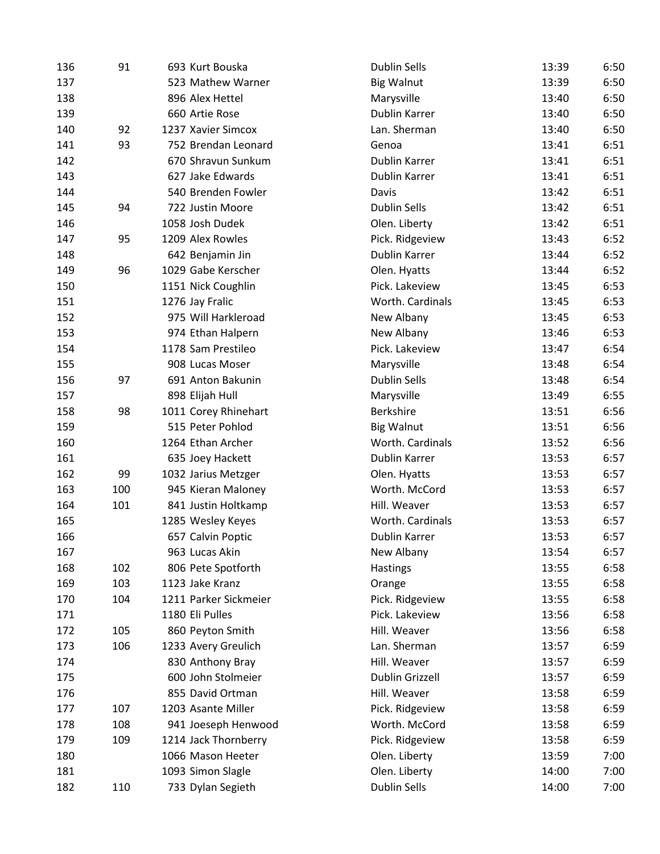| 136 | 91  | 693 Kurt Bouska       | <b>Dublin Sells</b> | 13:39 | 6:50 |
|-----|-----|-----------------------|---------------------|-------|------|
| 137 |     | 523 Mathew Warner     | <b>Big Walnut</b>   | 13:39 | 6:50 |
| 138 |     | 896 Alex Hettel       | Marysville          | 13:40 | 6:50 |
| 139 |     | 660 Artie Rose        | Dublin Karrer       | 13:40 | 6:50 |
| 140 | 92  | 1237 Xavier Simcox    | Lan. Sherman        | 13:40 | 6:50 |
| 141 | 93  | 752 Brendan Leonard   | Genoa               | 13:41 | 6:51 |
| 142 |     | 670 Shravun Sunkum    | Dublin Karrer       | 13:41 | 6:51 |
| 143 |     | 627 Jake Edwards      | Dublin Karrer       | 13:41 | 6:51 |
| 144 |     | 540 Brenden Fowler    | Davis               | 13:42 | 6:51 |
| 145 | 94  | 722 Justin Moore      | Dublin Sells        | 13:42 | 6:51 |
| 146 |     | 1058 Josh Dudek       | Olen. Liberty       | 13:42 | 6:51 |
| 147 | 95  | 1209 Alex Rowles      | Pick. Ridgeview     | 13:43 | 6:52 |
| 148 |     | 642 Benjamin Jin      | Dublin Karrer       | 13:44 | 6:52 |
| 149 | 96  | 1029 Gabe Kerscher    | Olen. Hyatts        | 13:44 | 6:52 |
| 150 |     | 1151 Nick Coughlin    | Pick. Lakeview      | 13:45 | 6:53 |
| 151 |     | 1276 Jay Fralic       | Worth. Cardinals    | 13:45 | 6:53 |
| 152 |     | 975 Will Harkleroad   | New Albany          | 13:45 | 6:53 |
| 153 |     | 974 Ethan Halpern     | New Albany          | 13:46 | 6:53 |
| 154 |     | 1178 Sam Prestileo    | Pick. Lakeview      | 13:47 | 6:54 |
| 155 |     | 908 Lucas Moser       | Marysville          | 13:48 | 6:54 |
| 156 | 97  | 691 Anton Bakunin     | <b>Dublin Sells</b> | 13:48 | 6:54 |
| 157 |     | 898 Elijah Hull       | Marysville          | 13:49 | 6:55 |
| 158 | 98  | 1011 Corey Rhinehart  | <b>Berkshire</b>    | 13:51 | 6:56 |
| 159 |     | 515 Peter Pohlod      | <b>Big Walnut</b>   | 13:51 | 6:56 |
| 160 |     | 1264 Ethan Archer     | Worth. Cardinals    | 13:52 | 6:56 |
| 161 |     | 635 Joey Hackett      | Dublin Karrer       | 13:53 | 6:57 |
| 162 | 99  | 1032 Jarius Metzger   | Olen. Hyatts        | 13:53 | 6:57 |
| 163 | 100 | 945 Kieran Maloney    | Worth. McCord       | 13:53 | 6:57 |
| 164 | 101 | 841 Justin Holtkamp   | Hill. Weaver        | 13:53 | 6:57 |
| 165 |     | 1285 Wesley Keyes     | Worth. Cardinals    | 13:53 | 6:57 |
| 166 |     | 657 Calvin Poptic     | Dublin Karrer       | 13:53 | 6:57 |
| 167 |     | 963 Lucas Akin        | New Albany          | 13:54 | 6:57 |
| 168 | 102 | 806 Pete Spotforth    | <b>Hastings</b>     | 13:55 | 6:58 |
| 169 | 103 | 1123 Jake Kranz       | Orange              | 13:55 | 6:58 |
| 170 | 104 | 1211 Parker Sickmeier | Pick. Ridgeview     | 13:55 | 6:58 |
| 171 |     | 1180 Eli Pulles       | Pick. Lakeview      | 13:56 | 6:58 |
| 172 | 105 | 860 Peyton Smith      | Hill. Weaver        | 13:56 | 6:58 |
| 173 | 106 | 1233 Avery Greulich   | Lan. Sherman        | 13:57 | 6:59 |
| 174 |     | 830 Anthony Bray      | Hill. Weaver        | 13:57 | 6:59 |
| 175 |     | 600 John Stolmeier    | Dublin Grizzell     | 13:57 | 6:59 |
| 176 |     | 855 David Ortman      | Hill. Weaver        | 13:58 | 6:59 |
| 177 | 107 | 1203 Asante Miller    | Pick. Ridgeview     | 13:58 | 6:59 |
| 178 | 108 | 941 Joeseph Henwood   | Worth. McCord       | 13:58 | 6:59 |
| 179 | 109 | 1214 Jack Thornberry  | Pick. Ridgeview     | 13:58 | 6:59 |
| 180 |     | 1066 Mason Heeter     | Olen. Liberty       | 13:59 | 7:00 |
| 181 |     | 1093 Simon Slagle     | Olen. Liberty       | 14:00 | 7:00 |
| 182 | 110 | 733 Dylan Segieth     | Dublin Sells        | 14:00 | 7:00 |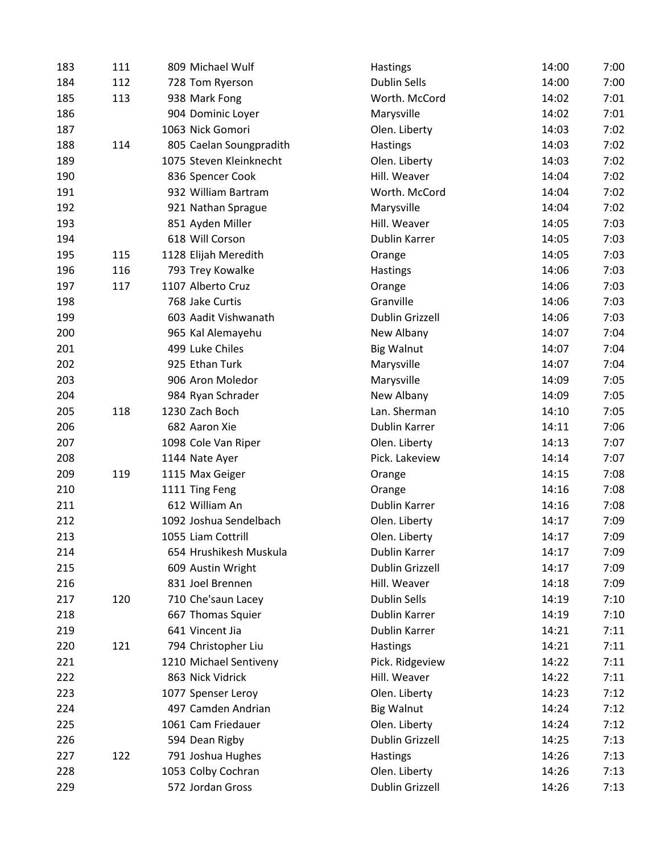| 183 | 111 | 809 Michael Wulf        | Hastings               | 14:00 | 7:00 |
|-----|-----|-------------------------|------------------------|-------|------|
| 184 | 112 | 728 Tom Ryerson         | <b>Dublin Sells</b>    | 14:00 | 7:00 |
| 185 | 113 | 938 Mark Fong           | Worth. McCord          | 14:02 | 7:01 |
| 186 |     | 904 Dominic Loyer       | Marysville             | 14:02 | 7:01 |
| 187 |     | 1063 Nick Gomori        | Olen. Liberty          | 14:03 | 7:02 |
| 188 | 114 | 805 Caelan Soungpradith | Hastings               | 14:03 | 7:02 |
| 189 |     | 1075 Steven Kleinknecht | Olen. Liberty          | 14:03 | 7:02 |
| 190 |     | 836 Spencer Cook        | Hill. Weaver           | 14:04 | 7:02 |
| 191 |     | 932 William Bartram     | Worth. McCord          | 14:04 | 7:02 |
| 192 |     | 921 Nathan Sprague      | Marysville             | 14:04 | 7:02 |
| 193 |     | 851 Ayden Miller        | Hill. Weaver           | 14:05 | 7:03 |
| 194 |     | 618 Will Corson         | Dublin Karrer          | 14:05 | 7:03 |
| 195 | 115 | 1128 Elijah Meredith    | Orange                 | 14:05 | 7:03 |
| 196 | 116 | 793 Trey Kowalke        | Hastings               | 14:06 | 7:03 |
| 197 | 117 | 1107 Alberto Cruz       | Orange                 | 14:06 | 7:03 |
| 198 |     | 768 Jake Curtis         | Granville              | 14:06 | 7:03 |
| 199 |     | 603 Aadit Vishwanath    | Dublin Grizzell        | 14:06 | 7:03 |
| 200 |     | 965 Kal Alemayehu       | New Albany             | 14:07 | 7:04 |
| 201 |     | 499 Luke Chiles         | <b>Big Walnut</b>      | 14:07 | 7:04 |
| 202 |     | 925 Ethan Turk          | Marysville             | 14:07 | 7:04 |
| 203 |     | 906 Aron Moledor        | Marysville             | 14:09 | 7:05 |
| 204 |     | 984 Ryan Schrader       | New Albany             | 14:09 | 7:05 |
| 205 | 118 | 1230 Zach Boch          | Lan. Sherman           | 14:10 | 7:05 |
| 206 |     | 682 Aaron Xie           | Dublin Karrer          | 14:11 | 7:06 |
| 207 |     | 1098 Cole Van Riper     | Olen. Liberty          | 14:13 | 7:07 |
| 208 |     | 1144 Nate Ayer          | Pick. Lakeview         | 14:14 | 7:07 |
| 209 | 119 | 1115 Max Geiger         | Orange                 | 14:15 | 7:08 |
| 210 |     | 1111 Ting Feng          | Orange                 | 14:16 | 7:08 |
| 211 |     | 612 William An          | Dublin Karrer          | 14:16 | 7:08 |
| 212 |     | 1092 Joshua Sendelbach  | Olen. Liberty          | 14:17 | 7:09 |
| 213 |     | 1055 Liam Cottrill      | Olen. Liberty          | 14:17 | 7:09 |
| 214 |     | 654 Hrushikesh Muskula  | Dublin Karrer          | 14:17 | 7:09 |
| 215 |     | 609 Austin Wright       | <b>Dublin Grizzell</b> | 14:17 | 7:09 |
| 216 |     | 831 Joel Brennen        | Hill. Weaver           | 14:18 | 7:09 |
| 217 | 120 | 710 Che'saun Lacey      | <b>Dublin Sells</b>    | 14:19 | 7:10 |
| 218 |     | 667 Thomas Squier       | Dublin Karrer          | 14:19 | 7:10 |
| 219 |     | 641 Vincent Jia         | Dublin Karrer          | 14:21 | 7:11 |
| 220 | 121 | 794 Christopher Liu     | Hastings               | 14:21 | 7:11 |
| 221 |     | 1210 Michael Sentiveny  | Pick. Ridgeview        | 14:22 | 7:11 |
| 222 |     | 863 Nick Vidrick        | Hill. Weaver           | 14:22 | 7:11 |
| 223 |     | 1077 Spenser Leroy      | Olen. Liberty          | 14:23 | 7:12 |
| 224 |     | 497 Camden Andrian      | <b>Big Walnut</b>      | 14:24 | 7:12 |
| 225 |     | 1061 Cam Friedauer      | Olen. Liberty          | 14:24 | 7:12 |
| 226 |     | 594 Dean Rigby          | <b>Dublin Grizzell</b> | 14:25 | 7:13 |
| 227 | 122 | 791 Joshua Hughes       | Hastings               | 14:26 | 7:13 |
| 228 |     | 1053 Colby Cochran      | Olen. Liberty          | 14:26 | 7:13 |
| 229 |     | 572 Jordan Gross        | Dublin Grizzell        | 14:26 | 7:13 |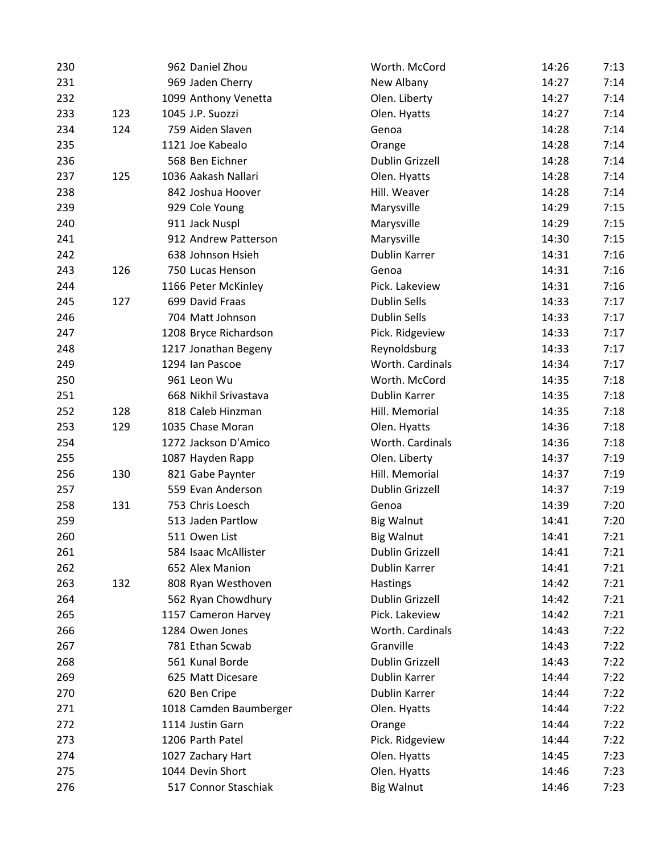| 230 |     | 962 Daniel Zhou        | Worth. McCord          | 14:26 | 7:13 |
|-----|-----|------------------------|------------------------|-------|------|
| 231 |     | 969 Jaden Cherry       | New Albany             | 14:27 | 7:14 |
| 232 |     | 1099 Anthony Venetta   | Olen. Liberty          | 14:27 | 7:14 |
| 233 | 123 | 1045 J.P. Suozzi       | Olen. Hyatts           | 14:27 | 7:14 |
| 234 | 124 | 759 Aiden Slaven       | Genoa                  | 14:28 | 7:14 |
| 235 |     | 1121 Joe Kabealo       | Orange                 | 14:28 | 7:14 |
| 236 |     | 568 Ben Eichner        | Dublin Grizzell        | 14:28 | 7:14 |
| 237 | 125 | 1036 Aakash Nallari    | Olen. Hyatts           | 14:28 | 7:14 |
| 238 |     | 842 Joshua Hoover      | Hill. Weaver           | 14:28 | 7:14 |
| 239 |     | 929 Cole Young         | Marysville             | 14:29 | 7:15 |
| 240 |     | 911 Jack Nuspl         | Marysville             | 14:29 | 7:15 |
| 241 |     | 912 Andrew Patterson   | Marysville             | 14:30 | 7:15 |
| 242 |     | 638 Johnson Hsieh      | Dublin Karrer          | 14:31 | 7:16 |
| 243 | 126 | 750 Lucas Henson       | Genoa                  | 14:31 | 7:16 |
| 244 |     | 1166 Peter McKinley    | Pick. Lakeview         | 14:31 | 7:16 |
| 245 | 127 | 699 David Fraas        | <b>Dublin Sells</b>    | 14:33 | 7:17 |
| 246 |     | 704 Matt Johnson       | <b>Dublin Sells</b>    | 14:33 | 7:17 |
| 247 |     | 1208 Bryce Richardson  | Pick. Ridgeview        | 14:33 | 7:17 |
| 248 |     | 1217 Jonathan Begeny   | Reynoldsburg           | 14:33 | 7:17 |
| 249 |     | 1294 Ian Pascoe        | Worth. Cardinals       | 14:34 | 7:17 |
| 250 |     | 961 Leon Wu            | Worth. McCord          | 14:35 | 7:18 |
| 251 |     | 668 Nikhil Srivastava  | Dublin Karrer          | 14:35 | 7:18 |
| 252 | 128 | 818 Caleb Hinzman      | Hill. Memorial         | 14:35 | 7:18 |
| 253 | 129 | 1035 Chase Moran       | Olen. Hyatts           | 14:36 | 7:18 |
| 254 |     | 1272 Jackson D'Amico   | Worth. Cardinals       | 14:36 | 7:18 |
| 255 |     | 1087 Hayden Rapp       | Olen. Liberty          | 14:37 | 7:19 |
| 256 | 130 | 821 Gabe Paynter       | Hill. Memorial         | 14:37 | 7:19 |
| 257 |     | 559 Evan Anderson      | <b>Dublin Grizzell</b> | 14:37 | 7:19 |
| 258 | 131 | 753 Chris Loesch       | Genoa                  | 14:39 | 7:20 |
| 259 |     | 513 Jaden Partlow      | <b>Big Walnut</b>      | 14:41 | 7:20 |
| 260 |     | 511 Owen List          | <b>Big Walnut</b>      | 14:41 | 7:21 |
| 261 |     | 584 Isaac McAllister   | Dublin Grizzell        | 14:41 | 7:21 |
| 262 |     | 652 Alex Manion        | Dublin Karrer          | 14:41 | 7:21 |
| 263 | 132 | 808 Ryan Westhoven     | Hastings               | 14:42 | 7:21 |
| 264 |     | 562 Ryan Chowdhury     | Dublin Grizzell        | 14:42 | 7:21 |
| 265 |     | 1157 Cameron Harvey    | Pick. Lakeview         | 14:42 | 7:21 |
| 266 |     | 1284 Owen Jones        | Worth. Cardinals       | 14:43 | 7:22 |
| 267 |     | 781 Ethan Scwab        | Granville              | 14:43 | 7:22 |
| 268 |     | 561 Kunal Borde        | Dublin Grizzell        | 14:43 | 7:22 |
| 269 |     | 625 Matt Dicesare      | Dublin Karrer          | 14:44 | 7:22 |
| 270 |     | 620 Ben Cripe          | Dublin Karrer          | 14:44 | 7:22 |
| 271 |     | 1018 Camden Baumberger | Olen. Hyatts           | 14:44 | 7:22 |
| 272 |     | 1114 Justin Garn       | Orange                 | 14:44 | 7:22 |
| 273 |     | 1206 Parth Patel       | Pick. Ridgeview        | 14:44 | 7:22 |
| 274 |     | 1027 Zachary Hart      | Olen. Hyatts           | 14:45 | 7:23 |
| 275 |     | 1044 Devin Short       | Olen. Hyatts           | 14:46 | 7:23 |
| 276 |     | 517 Connor Staschiak   | <b>Big Walnut</b>      | 14:46 | 7:23 |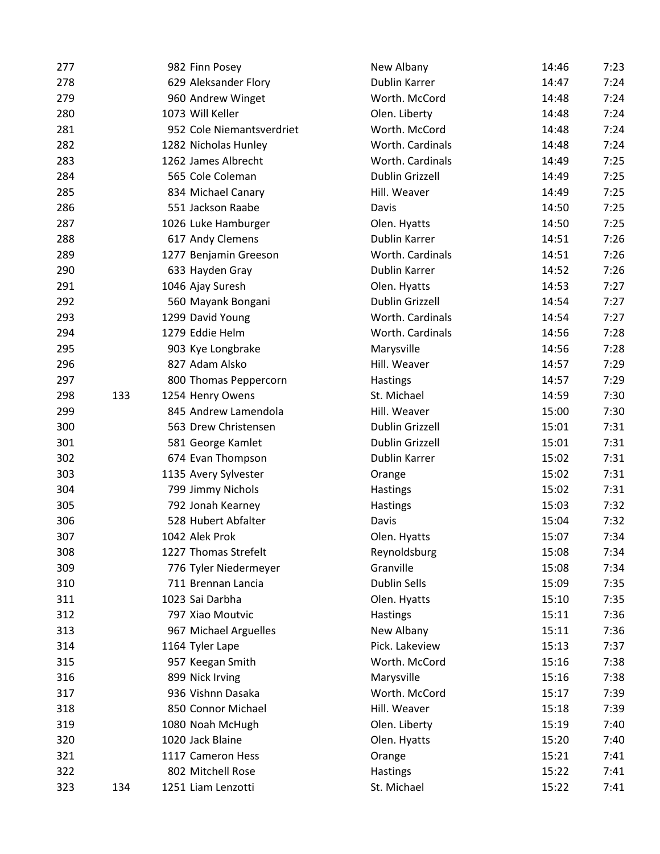| 277 |     | 982 Finn Posey            | New Albany          | 14:46 | 7:23 |
|-----|-----|---------------------------|---------------------|-------|------|
| 278 |     | 629 Aleksander Flory      | Dublin Karrer       | 14:47 | 7:24 |
| 279 |     | 960 Andrew Winget         | Worth. McCord       | 14:48 | 7:24 |
| 280 |     | 1073 Will Keller          | Olen. Liberty       | 14:48 | 7:24 |
| 281 |     | 952 Cole Niemantsverdriet | Worth. McCord       | 14:48 | 7:24 |
| 282 |     | 1282 Nicholas Hunley      | Worth. Cardinals    | 14:48 | 7:24 |
| 283 |     | 1262 James Albrecht       | Worth. Cardinals    | 14:49 | 7:25 |
| 284 |     | 565 Cole Coleman          | Dublin Grizzell     | 14:49 | 7:25 |
| 285 |     | 834 Michael Canary        | Hill. Weaver        | 14:49 | 7:25 |
| 286 |     | 551 Jackson Raabe         | Davis               | 14:50 | 7:25 |
| 287 |     | 1026 Luke Hamburger       | Olen. Hyatts        | 14:50 | 7:25 |
| 288 |     | 617 Andy Clemens          | Dublin Karrer       | 14:51 | 7:26 |
| 289 |     | 1277 Benjamin Greeson     | Worth. Cardinals    | 14:51 | 7:26 |
| 290 |     | 633 Hayden Gray           | Dublin Karrer       | 14:52 | 7:26 |
| 291 |     | 1046 Ajay Suresh          | Olen. Hyatts        | 14:53 | 7:27 |
| 292 |     | 560 Mayank Bongani        | Dublin Grizzell     | 14:54 | 7:27 |
| 293 |     | 1299 David Young          | Worth. Cardinals    | 14:54 | 7:27 |
| 294 |     | 1279 Eddie Helm           | Worth. Cardinals    | 14:56 | 7:28 |
| 295 |     | 903 Kye Longbrake         | Marysville          | 14:56 | 7:28 |
| 296 |     | 827 Adam Alsko            | Hill. Weaver        | 14:57 | 7:29 |
| 297 |     | 800 Thomas Peppercorn     | Hastings            | 14:57 | 7:29 |
| 298 | 133 | 1254 Henry Owens          | St. Michael         | 14:59 | 7:30 |
| 299 |     | 845 Andrew Lamendola      | Hill. Weaver        | 15:00 | 7:30 |
| 300 |     | 563 Drew Christensen      | Dublin Grizzell     | 15:01 | 7:31 |
| 301 |     | 581 George Kamlet         | Dublin Grizzell     | 15:01 | 7:31 |
| 302 |     | 674 Evan Thompson         | Dublin Karrer       | 15:02 | 7:31 |
| 303 |     | 1135 Avery Sylvester      | Orange              | 15:02 | 7:31 |
| 304 |     | 799 Jimmy Nichols         | <b>Hastings</b>     | 15:02 | 7:31 |
| 305 |     | 792 Jonah Kearney         | Hastings            | 15:03 | 7:32 |
| 306 |     | 528 Hubert Abfalter       | Davis               | 15:04 | 7:32 |
| 307 |     | 1042 Alek Prok            | Olen. Hyatts        | 15:07 | 7:34 |
| 308 |     | 1227 Thomas Strefelt      | Reynoldsburg        | 15:08 | 7:34 |
| 309 |     | 776 Tyler Niedermeyer     | Granville           | 15:08 | 7:34 |
| 310 |     | 711 Brennan Lancia        | <b>Dublin Sells</b> | 15:09 | 7:35 |
| 311 |     | 1023 Sai Darbha           | Olen. Hyatts        | 15:10 | 7:35 |
| 312 |     | 797 Xiao Moutvic          | <b>Hastings</b>     | 15:11 | 7:36 |
| 313 |     | 967 Michael Arguelles     | New Albany          | 15:11 | 7:36 |
| 314 |     | 1164 Tyler Lape           | Pick. Lakeview      | 15:13 | 7:37 |
| 315 |     | 957 Keegan Smith          | Worth. McCord       | 15:16 | 7:38 |
| 316 |     | 899 Nick Irving           | Marysville          | 15:16 | 7:38 |
| 317 |     | 936 Vishnn Dasaka         | Worth. McCord       | 15:17 | 7:39 |
| 318 |     | 850 Connor Michael        | Hill. Weaver        | 15:18 | 7:39 |
| 319 |     | 1080 Noah McHugh          | Olen. Liberty       | 15:19 | 7:40 |
| 320 |     | 1020 Jack Blaine          | Olen. Hyatts        | 15:20 | 7:40 |
| 321 |     | 1117 Cameron Hess         | Orange              | 15:21 | 7:41 |
| 322 |     | 802 Mitchell Rose         | <b>Hastings</b>     | 15:22 | 7:41 |
| 323 | 134 | 1251 Liam Lenzotti        | St. Michael         | 15:22 | 7:41 |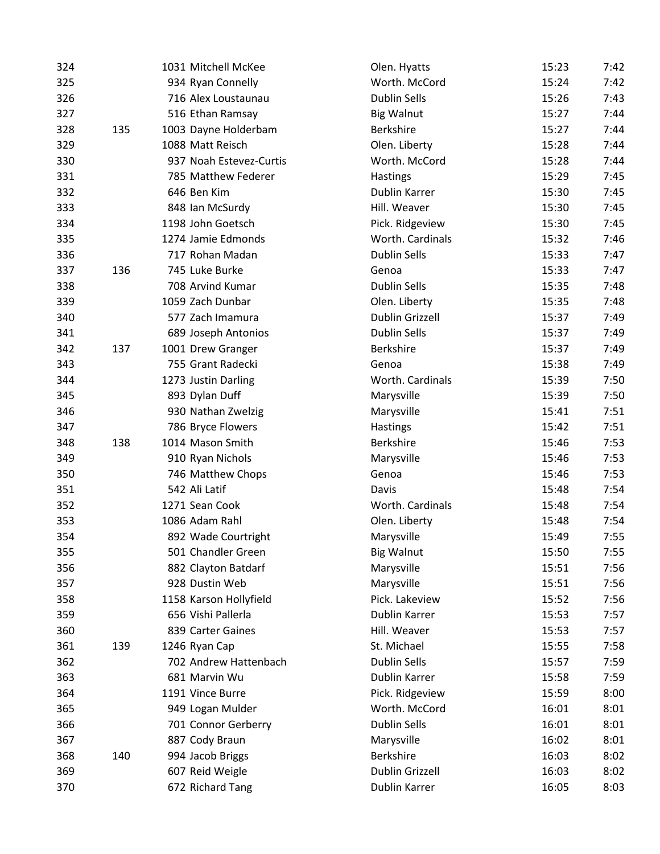| 324 |     | 1031 Mitchell McKee     | Olen. Hyatts        | 15:23 | 7:42 |
|-----|-----|-------------------------|---------------------|-------|------|
| 325 |     | 934 Ryan Connelly       | Worth. McCord       | 15:24 | 7:42 |
| 326 |     | 716 Alex Loustaunau     | <b>Dublin Sells</b> | 15:26 | 7:43 |
| 327 |     | 516 Ethan Ramsay        | <b>Big Walnut</b>   | 15:27 | 7:44 |
| 328 | 135 | 1003 Dayne Holderbam    | <b>Berkshire</b>    | 15:27 | 7:44 |
| 329 |     | 1088 Matt Reisch        | Olen. Liberty       | 15:28 | 7:44 |
| 330 |     | 937 Noah Estevez-Curtis | Worth. McCord       | 15:28 | 7:44 |
| 331 |     | 785 Matthew Federer     | Hastings            | 15:29 | 7:45 |
| 332 |     | 646 Ben Kim             | Dublin Karrer       | 15:30 | 7:45 |
| 333 |     | 848 Ian McSurdy         | Hill. Weaver        | 15:30 | 7:45 |
| 334 |     | 1198 John Goetsch       | Pick. Ridgeview     | 15:30 | 7:45 |
| 335 |     | 1274 Jamie Edmonds      | Worth. Cardinals    | 15:32 | 7:46 |
| 336 |     | 717 Rohan Madan         | <b>Dublin Sells</b> | 15:33 | 7:47 |
| 337 | 136 | 745 Luke Burke          | Genoa               | 15:33 | 7:47 |
| 338 |     | 708 Arvind Kumar        | <b>Dublin Sells</b> | 15:35 | 7:48 |
| 339 |     | 1059 Zach Dunbar        | Olen. Liberty       | 15:35 | 7:48 |
| 340 |     | 577 Zach Imamura        | Dublin Grizzell     | 15:37 | 7:49 |
| 341 |     | 689 Joseph Antonios     | <b>Dublin Sells</b> | 15:37 | 7:49 |
| 342 | 137 | 1001 Drew Granger       | Berkshire           | 15:37 | 7:49 |
| 343 |     | 755 Grant Radecki       | Genoa               | 15:38 | 7:49 |
| 344 |     | 1273 Justin Darling     | Worth. Cardinals    | 15:39 | 7:50 |
| 345 |     | 893 Dylan Duff          | Marysville          | 15:39 | 7:50 |
| 346 |     | 930 Nathan Zwelzig      | Marysville          | 15:41 | 7:51 |
| 347 |     | 786 Bryce Flowers       | Hastings            | 15:42 | 7:51 |
| 348 | 138 | 1014 Mason Smith        | Berkshire           | 15:46 | 7:53 |
| 349 |     | 910 Ryan Nichols        | Marysville          | 15:46 | 7:53 |
| 350 |     | 746 Matthew Chops       | Genoa               | 15:46 | 7:53 |
| 351 |     | 542 Ali Latif           | Davis               | 15:48 | 7:54 |
| 352 |     | 1271 Sean Cook          | Worth. Cardinals    | 15:48 | 7:54 |
| 353 |     | 1086 Adam Rahl          | Olen. Liberty       | 15:48 | 7:54 |
| 354 |     | 892 Wade Courtright     | Marysville          | 15:49 | 7:55 |
| 355 |     | 501 Chandler Green      | <b>Big Walnut</b>   | 15:50 | 7:55 |
| 356 |     | 882 Clayton Batdarf     | Marysville          | 15:51 | 7:56 |
| 357 |     | 928 Dustin Web          | Marysville          | 15:51 | 7:56 |
| 358 |     | 1158 Karson Hollyfield  | Pick. Lakeview      | 15:52 | 7:56 |
| 359 |     | 656 Vishi Pallerla      | Dublin Karrer       | 15:53 | 7:57 |
| 360 |     | 839 Carter Gaines       | Hill. Weaver        | 15:53 | 7:57 |
| 361 | 139 | 1246 Ryan Cap           | St. Michael         | 15:55 | 7:58 |
| 362 |     | 702 Andrew Hattenbach   | Dublin Sells        | 15:57 | 7:59 |
| 363 |     | 681 Marvin Wu           | Dublin Karrer       | 15:58 | 7:59 |
| 364 |     | 1191 Vince Burre        | Pick. Ridgeview     | 15:59 | 8:00 |
| 365 |     | 949 Logan Mulder        | Worth. McCord       | 16:01 | 8:01 |
| 366 |     | 701 Connor Gerberry     | Dublin Sells        | 16:01 | 8:01 |
| 367 |     | 887 Cody Braun          | Marysville          | 16:02 | 8:01 |
| 368 | 140 | 994 Jacob Briggs        | <b>Berkshire</b>    | 16:03 | 8:02 |
| 369 |     | 607 Reid Weigle         | Dublin Grizzell     | 16:03 | 8:02 |
| 370 |     | 672 Richard Tang        | Dublin Karrer       | 16:05 | 8:03 |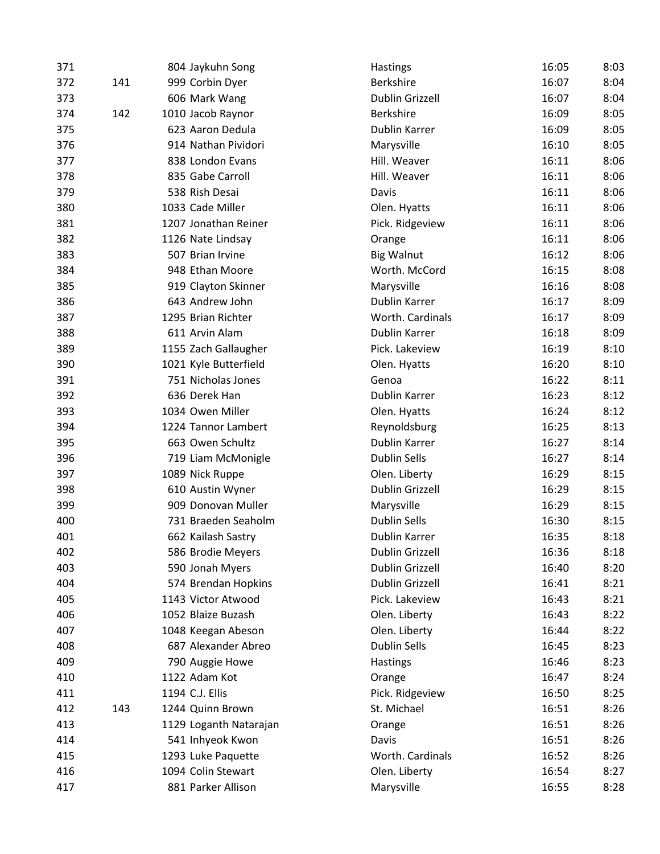| 371 |     | 804 Jaykuhn Song       | Hastings               | 16:05 | 8:03 |
|-----|-----|------------------------|------------------------|-------|------|
| 372 | 141 | 999 Corbin Dyer        | <b>Berkshire</b>       | 16:07 | 8:04 |
| 373 |     | 606 Mark Wang          | Dublin Grizzell        | 16:07 | 8:04 |
| 374 | 142 | 1010 Jacob Raynor      | <b>Berkshire</b>       | 16:09 | 8:05 |
| 375 |     | 623 Aaron Dedula       | Dublin Karrer          | 16:09 | 8:05 |
| 376 |     | 914 Nathan Pividori    | Marysville             | 16:10 | 8:05 |
| 377 |     | 838 London Evans       | Hill. Weaver           | 16:11 | 8:06 |
| 378 |     | 835 Gabe Carroll       | Hill. Weaver           | 16:11 | 8:06 |
| 379 |     | 538 Rish Desai         | Davis                  | 16:11 | 8:06 |
| 380 |     | 1033 Cade Miller       | Olen. Hyatts           | 16:11 | 8:06 |
| 381 |     | 1207 Jonathan Reiner   | Pick. Ridgeview        | 16:11 | 8:06 |
| 382 |     | 1126 Nate Lindsay      | Orange                 | 16:11 | 8:06 |
| 383 |     | 507 Brian Irvine       | <b>Big Walnut</b>      | 16:12 | 8:06 |
| 384 |     | 948 Ethan Moore        | Worth. McCord          | 16:15 | 8:08 |
| 385 |     | 919 Clayton Skinner    | Marysville             | 16:16 | 8:08 |
| 386 |     | 643 Andrew John        | Dublin Karrer          | 16:17 | 8:09 |
| 387 |     | 1295 Brian Richter     | Worth. Cardinals       | 16:17 | 8:09 |
| 388 |     | 611 Arvin Alam         | Dublin Karrer          | 16:18 | 8:09 |
| 389 |     | 1155 Zach Gallaugher   | Pick. Lakeview         | 16:19 | 8:10 |
| 390 |     | 1021 Kyle Butterfield  | Olen. Hyatts           | 16:20 | 8:10 |
| 391 |     | 751 Nicholas Jones     | Genoa                  | 16:22 | 8:11 |
| 392 |     | 636 Derek Han          | Dublin Karrer          | 16:23 | 8:12 |
| 393 |     | 1034 Owen Miller       | Olen. Hyatts           | 16:24 | 8:12 |
| 394 |     | 1224 Tannor Lambert    | Reynoldsburg           | 16:25 | 8:13 |
| 395 |     | 663 Owen Schultz       | Dublin Karrer          | 16:27 | 8:14 |
| 396 |     | 719 Liam McMonigle     | <b>Dublin Sells</b>    | 16:27 | 8:14 |
| 397 |     | 1089 Nick Ruppe        | Olen. Liberty          | 16:29 | 8:15 |
| 398 |     | 610 Austin Wyner       | Dublin Grizzell        | 16:29 | 8:15 |
| 399 |     | 909 Donovan Muller     | Marysville             | 16:29 | 8:15 |
| 400 |     | 731 Braeden Seaholm    | <b>Dublin Sells</b>    | 16:30 | 8:15 |
| 401 |     | 662 Kailash Sastry     | Dublin Karrer          | 16:35 | 8:18 |
| 402 |     | 586 Brodie Meyers      | Dublin Grizzell        | 16:36 | 8:18 |
| 403 |     | 590 Jonah Myers        | <b>Dublin Grizzell</b> | 16:40 | 8:20 |
| 404 |     | 574 Brendan Hopkins    | <b>Dublin Grizzell</b> | 16:41 | 8:21 |
| 405 |     | 1143 Victor Atwood     | Pick. Lakeview         | 16:43 | 8:21 |
| 406 |     | 1052 Blaize Buzash     | Olen. Liberty          | 16:43 | 8:22 |
| 407 |     | 1048 Keegan Abeson     | Olen. Liberty          | 16:44 | 8:22 |
| 408 |     | 687 Alexander Abreo    | Dublin Sells           | 16:45 | 8:23 |
| 409 |     | 790 Auggie Howe        | <b>Hastings</b>        | 16:46 | 8:23 |
| 410 |     | 1122 Adam Kot          | Orange                 | 16:47 | 8:24 |
| 411 |     | 1194 C.J. Ellis        | Pick. Ridgeview        | 16:50 | 8:25 |
| 412 | 143 | 1244 Quinn Brown       | St. Michael            | 16:51 | 8:26 |
| 413 |     | 1129 Loganth Natarajan | Orange                 | 16:51 | 8:26 |
| 414 |     | 541 Inhyeok Kwon       | Davis                  | 16:51 | 8:26 |
| 415 |     | 1293 Luke Paquette     | Worth. Cardinals       | 16:52 | 8:26 |
| 416 |     | 1094 Colin Stewart     | Olen. Liberty          | 16:54 | 8:27 |
| 417 |     | 881 Parker Allison     | Marysville             | 16:55 | 8:28 |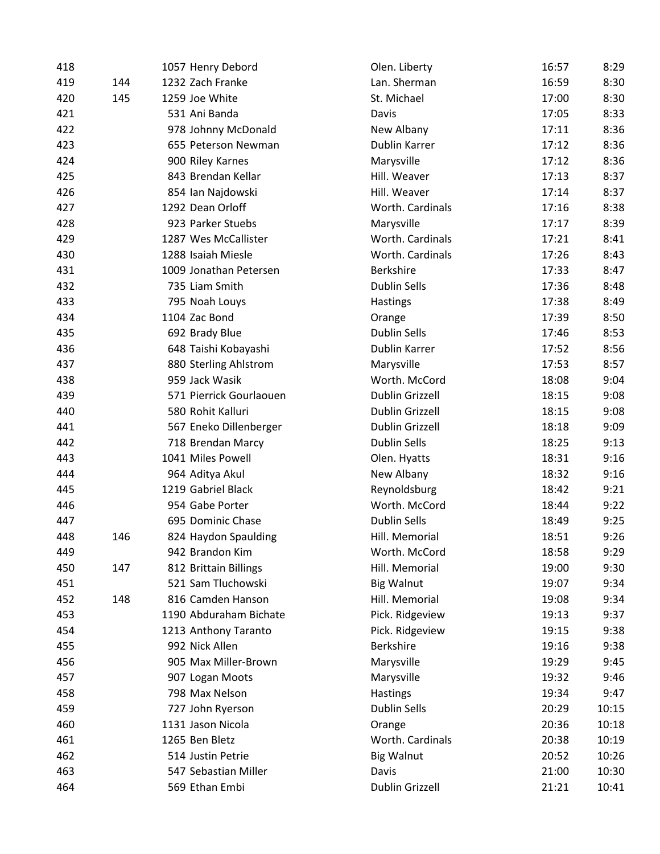| 418 |     | 1057 Henry Debord       | Olen. Liberty          | 16:57 | 8:29  |
|-----|-----|-------------------------|------------------------|-------|-------|
| 419 | 144 | 1232 Zach Franke        | Lan. Sherman           | 16:59 | 8:30  |
| 420 | 145 | 1259 Joe White          | St. Michael            | 17:00 | 8:30  |
| 421 |     | 531 Ani Banda           | Davis                  | 17:05 | 8:33  |
| 422 |     | 978 Johnny McDonald     | New Albany             | 17:11 | 8:36  |
| 423 |     | 655 Peterson Newman     | Dublin Karrer          | 17:12 | 8:36  |
| 424 |     | 900 Riley Karnes        | Marysville             | 17:12 | 8:36  |
| 425 |     | 843 Brendan Kellar      | Hill. Weaver           | 17:13 | 8:37  |
| 426 |     | 854 Ian Najdowski       | Hill. Weaver           | 17:14 | 8:37  |
| 427 |     | 1292 Dean Orloff        | Worth. Cardinals       | 17:16 | 8:38  |
| 428 |     | 923 Parker Stuebs       | Marysville             | 17:17 | 8:39  |
| 429 |     | 1287 Wes McCallister    | Worth. Cardinals       | 17:21 | 8:41  |
| 430 |     | 1288 Isaiah Miesle      | Worth. Cardinals       | 17:26 | 8:43  |
| 431 |     | 1009 Jonathan Petersen  | <b>Berkshire</b>       | 17:33 | 8:47  |
| 432 |     | 735 Liam Smith          | <b>Dublin Sells</b>    | 17:36 | 8:48  |
| 433 |     | 795 Noah Louys          | <b>Hastings</b>        | 17:38 | 8:49  |
| 434 |     | 1104 Zac Bond           | Orange                 | 17:39 | 8:50  |
| 435 |     | 692 Brady Blue          | Dublin Sells           | 17:46 | 8:53  |
| 436 |     | 648 Taishi Kobayashi    | Dublin Karrer          | 17:52 | 8:56  |
| 437 |     | 880 Sterling Ahlstrom   | Marysville             | 17:53 | 8:57  |
| 438 |     | 959 Jack Wasik          | Worth. McCord          | 18:08 | 9:04  |
| 439 |     | 571 Pierrick Gourlaouen | Dublin Grizzell        | 18:15 | 9:08  |
| 440 |     | 580 Rohit Kalluri       | <b>Dublin Grizzell</b> | 18:15 | 9:08  |
| 441 |     | 567 Eneko Dillenberger  | Dublin Grizzell        | 18:18 | 9:09  |
| 442 |     | 718 Brendan Marcy       | Dublin Sells           | 18:25 | 9:13  |
| 443 |     | 1041 Miles Powell       | Olen. Hyatts           | 18:31 | 9:16  |
| 444 |     | 964 Aditya Akul         | New Albany             | 18:32 | 9:16  |
| 445 |     | 1219 Gabriel Black      | Reynoldsburg           | 18:42 | 9:21  |
| 446 |     | 954 Gabe Porter         | Worth. McCord          | 18:44 | 9:22  |
| 447 |     | 695 Dominic Chase       | <b>Dublin Sells</b>    | 18:49 | 9:25  |
| 448 | 146 | 824 Haydon Spaulding    | Hill. Memorial         | 18:51 | 9:26  |
| 449 |     | 942 Brandon Kim         | Worth. McCord          | 18:58 | 9:29  |
| 450 | 147 | 812 Brittain Billings   | Hill. Memorial         | 19:00 | 9:30  |
| 451 |     | 521 Sam Tluchowski      | <b>Big Walnut</b>      | 19:07 | 9:34  |
| 452 | 148 | 816 Camden Hanson       | Hill. Memorial         | 19:08 | 9:34  |
| 453 |     | 1190 Abduraham Bichate  | Pick. Ridgeview        | 19:13 | 9:37  |
| 454 |     | 1213 Anthony Taranto    | Pick. Ridgeview        | 19:15 | 9:38  |
| 455 |     | 992 Nick Allen          | <b>Berkshire</b>       | 19:16 | 9:38  |
| 456 |     | 905 Max Miller-Brown    | Marysville             | 19:29 | 9:45  |
| 457 |     | 907 Logan Moots         | Marysville             | 19:32 | 9:46  |
| 458 |     | 798 Max Nelson          | <b>Hastings</b>        | 19:34 | 9:47  |
| 459 |     | 727 John Ryerson        | Dublin Sells           | 20:29 | 10:15 |
| 460 |     | 1131 Jason Nicola       | Orange                 | 20:36 | 10:18 |
| 461 |     | 1265 Ben Bletz          | Worth. Cardinals       | 20:38 | 10:19 |
| 462 |     | 514 Justin Petrie       | <b>Big Walnut</b>      | 20:52 | 10:26 |
| 463 |     | 547 Sebastian Miller    | Davis                  | 21:00 | 10:30 |
| 464 |     | 569 Ethan Embi          | Dublin Grizzell        | 21:21 | 10:41 |